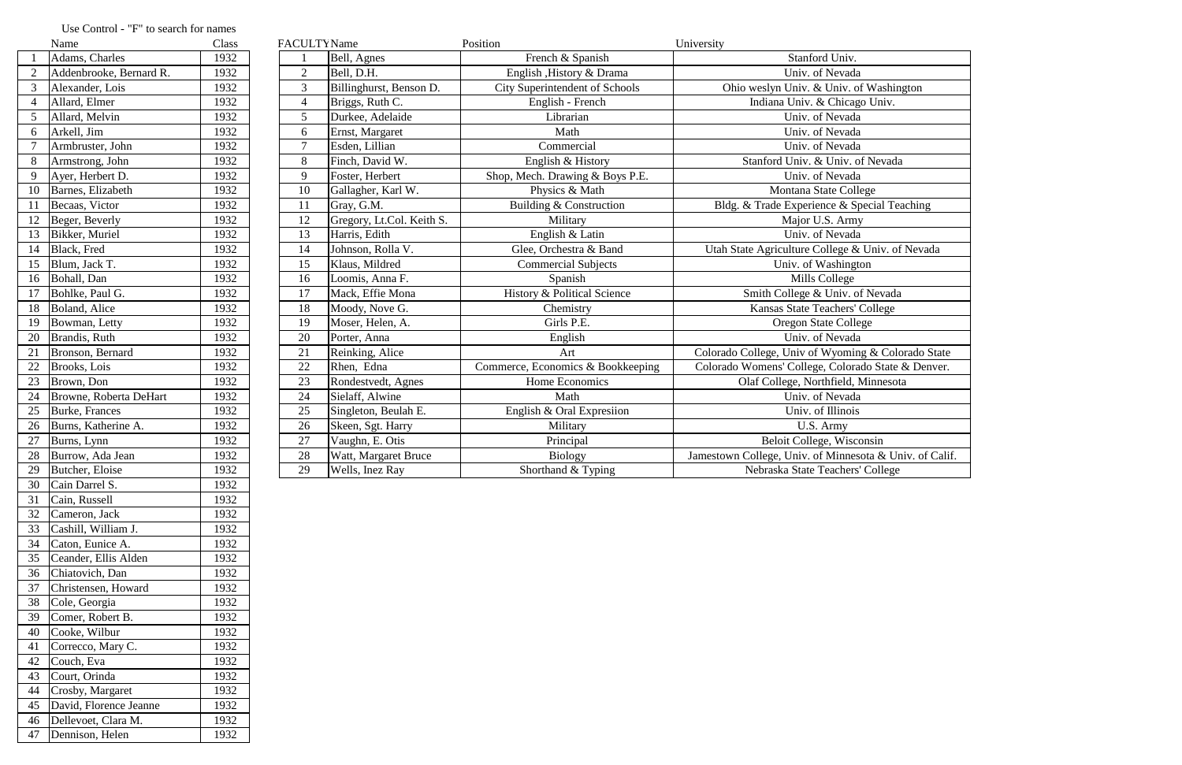|    | Name                    | Class | <b>FACULTY</b> Name |                           | Position                              | University                                              |
|----|-------------------------|-------|---------------------|---------------------------|---------------------------------------|---------------------------------------------------------|
|    | Adams, Charles          | 1932  |                     | Bell, Agnes               | French & Spanish                      | Stanford Univ.                                          |
|    | Addenbrooke, Bernard R. | 1932  | $\overline{2}$      | Bell, D.H.                | English , History & Drama             | Univ. of Nevada                                         |
|    | Alexander, Lois         | 1932  | 3                   | Billinghurst, Benson D.   | <b>City Superintendent of Schools</b> | Ohio weslyn Univ. & Univ. of Washington                 |
|    | Allard, Elmer           | 1932  | $\overline{4}$      | Briggs, Ruth C.           | English - French                      | Indiana Univ. & Chicago Univ.                           |
|    | Allard, Melvin          | 1932  | 5                   | Durkee, Adelaide          | Librarian                             | Univ. of Nevada                                         |
| 6  | Arkell, Jim             | 1932  | 6                   | Ernst, Margaret           | Math                                  | Univ. of Nevada                                         |
|    | Armbruster, John        | 1932  | $\tau$              | Esden, Lillian            | Commercial                            | Univ. of Nevada                                         |
| 8  | Armstrong, John         | 1932  | 8                   | Finch, David W.           | English & History                     | Stanford Univ. & Univ. of Nevada                        |
| 9  | Ayer, Herbert D.        | 1932  | 9                   | Foster, Herbert           | Shop, Mech. Drawing & Boys P.E.       | Univ. of Nevada                                         |
| 10 | Barnes, Elizabeth       | 1932  | 10                  | Gallagher, Karl W.        | Physics & Math                        | Montana State College                                   |
| 11 | Becaas, Victor          | 1932  | 11                  | Gray, G.M.                | Building & Construction               | Bldg. & Trade Experience & Special Teaching             |
| 12 | Beger, Beverly          | 1932  | 12                  | Gregory, Lt.Col. Keith S. | Military                              | Major U.S. Army                                         |
| 13 | Bikker, Muriel          | 1932  | 13                  | Harris, Edith             | English & Latin                       | Univ. of Nevada                                         |
| 14 | Black, Fred             | 1932  | 14                  | Johnson, Rolla V.         | Glee, Orchestra & Band                | Utah State Agriculture College & Univ. of Nevada        |
| 15 | Blum, Jack T.           | 1932  | 15                  | Klaus, Mildred            | <b>Commercial Subjects</b>            | Univ. of Washington                                     |
| 16 | Bohall, Dan             | 1932  | 16                  | Loomis, Anna F.           | Spanish                               | Mills College                                           |
|    | Bohlke, Paul G.         | 1932  | 17                  | Mack, Effie Mona          | History & Political Science           | Smith College & Univ. of Nevada                         |
| 18 | Boland, Alice           | 1932  | 18                  | Moody, Nove G.            | Chemistry                             | Kansas State Teachers' College                          |
| 19 | Bowman, Letty           | 1932  | 19                  | Moser, Helen, A.          | Girls P.E.                            | <b>Oregon State College</b>                             |
| 20 | Brandis, Ruth           | 1932  | 20                  | Porter, Anna              | English                               | Univ. of Nevada                                         |
| 21 | Bronson, Bernard        | 1932  | 21                  | Reinking, Alice           | Art                                   | Colorado College, Univ of Wyoming & Colorado State      |
| 22 | Brooks, Lois            | 1932  | 22                  | Rhen, Edna                | Commerce, Economics & Bookkeeping     | Colorado Womens' College, Colorado State & Denver.      |
| 23 | Brown, Don              | 1932  | 23                  | Rondestvedt, Agnes        | Home Economics                        | Olaf College, Northfield, Minnesota                     |
| 24 | Browne, Roberta DeHart  | 1932  | 24                  | Sielaff, Alwine           | Math                                  | Univ. of Nevada                                         |
| 25 | Burke, Frances          | 1932  | 25                  | Singleton, Beulah E.      | English & Oral Expression             | Univ. of Illinois                                       |
| 26 | Burns, Katherine A.     | 1932  | 26                  | Skeen, Sgt. Harry         | Military                              | U.S. Army                                               |
| 27 | Burns, Lynn             | 1932  | 27                  | Vaughn, E. Otis           | Principal                             | Beloit College, Wisconsin                               |
| 28 | Burrow, Ada Jean        | 1932  | 28                  | Watt, Margaret Bruce      | <b>Biology</b>                        | Jamestown College, Univ. of Minnesota & Univ. of Calif. |
| 29 | Butcher, Eloise         | 1932  | 29                  | Wells, Inez Ray           | Shorthand & Typing                    | Nebraska State Teachers' College                        |

## Use Control - "F" to search for names<br>Name Class

|                | тланіс                  | Ciass |
|----------------|-------------------------|-------|
| $\mathbf{1}$   | Adams, Charles          | 1932  |
| $\overline{2}$ | Addenbrooke, Bernard R. | 1932  |
| $\overline{3}$ | Alexander, Lois         | 1932  |
| $\overline{4}$ | Allard, Elmer           | 1932  |
| 5              | Allard, Melvin          | 1932  |
| 6              | Arkell, Jim             | 1932  |
| 7              | Armbruster, John        | 1932  |
| 8              | Armstrong, John         | 1932  |
| 9              | Ayer, Herbert D.        | 1932  |
| 10             | Barnes, Elizabeth       | 1932  |
| 11             | Becaas, Victor          | 1932  |
| 12             | Beger, Beverly          | 1932  |
| 13             | Bikker, Muriel          | 1932  |
| 14             | Black, Fred             | 1932  |
| 15             | Blum, Jack T.           | 1932  |
| 16             | Bohall, Dan             | 1932  |
| 17             | Bohlke, Paul G.         | 1932  |
| 18             | Boland, Alice           | 1932  |
| 19             | Bowman, Letty           | 1932  |
| 20             | Brandis, Ruth           | 1932  |
| 21             | Bronson, Bernard        | 1932  |
| 22             | Brooks, Lois            | 1932  |
| 23             | Brown, Don              | 1932  |
| 24             | Browne, Roberta DeHart  | 1932  |
| 25             | Burke, Frances          | 1932  |
| 26             | Burns, Katherine A.     | 1932  |
| 27             | Burns, Lynn             | 1932  |
| 28             | Burrow, Ada Jean        | 1932  |
| 29             | Butcher, Eloise         | 1932  |
| 30             | Cain Darrel S.          | 1932  |
| 31             | Cain, Russell           | 1932  |
| 32             | Cameron, Jack           | 1932  |
| 33             | Cashill, William J.     | 1932  |
| 34             | Caton, Eunice A.        | 1932  |
| 35             | Ceander, Ellis Alden    | 1932  |
| 36             | Chiatovich, Dan         | 1932  |
| 37             | Christensen, Howard     | 1932  |
| 38             | Cole, Georgia           | 1932  |
| 39             | Comer, Robert B.        | 1932  |
| 40             | Cooke, Wilbur           | 1932  |
| 41             | Correcco, Mary C.       | 1932  |
| 42             |                         |       |
|                | Couch, Eva              | 1932  |
| 43             | Court, Orinda           | 1932  |
| 44             | Crosby, Margaret        | 1932  |
| 45             | David, Florence Jeanne  | 1932  |
| 46             | Dellevoet, Clara M.     | 1932  |
| 47             | Dennison, Helen         | 1932  |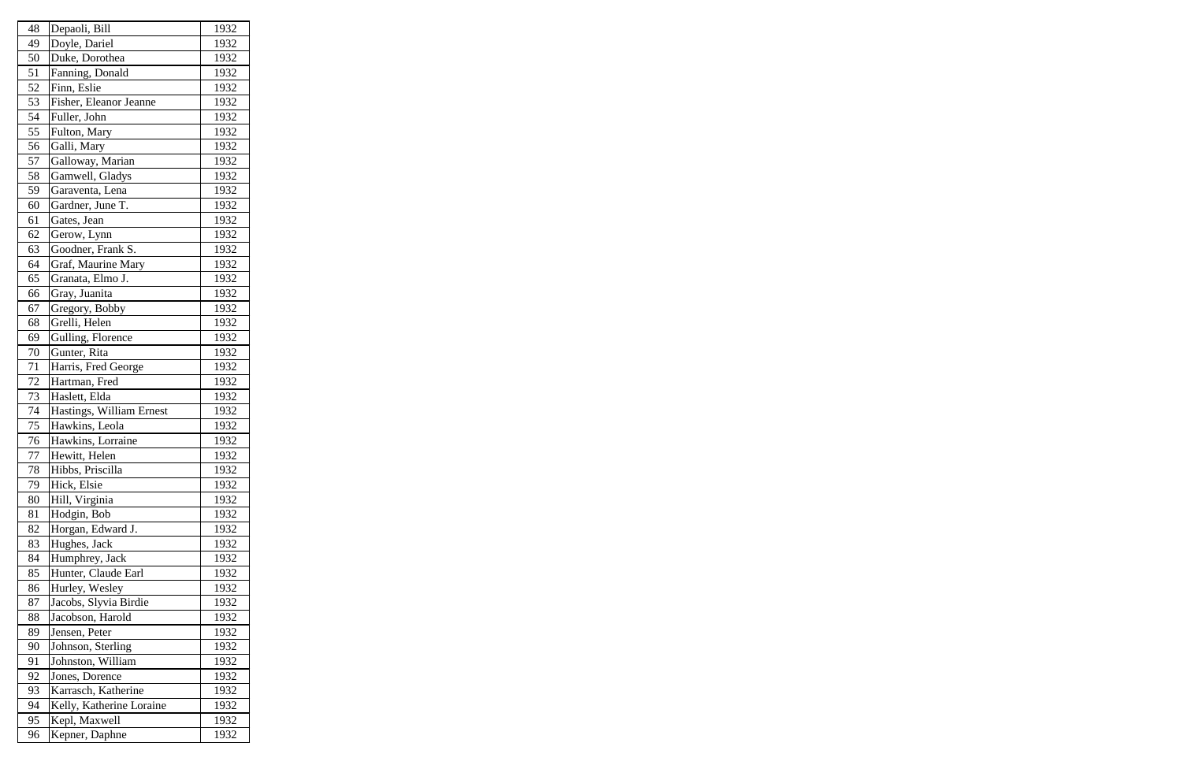| 48 | Depaoli, Bill            | 1932 |
|----|--------------------------|------|
| 49 | Doyle, Dariel            | 1932 |
| 50 | Duke, Dorothea           | 1932 |
| 51 | Fanning, Donald          | 1932 |
| 52 | Finn, Eslie              | 1932 |
| 53 | Fisher, Eleanor Jeanne   | 1932 |
| 54 | Fuller, John             | 1932 |
| 55 | Fulton, Mary             | 1932 |
| 56 | Galli, Mary              | 1932 |
| 57 | Galloway, Marian         | 1932 |
| 58 | Gamwell, Gladys          | 1932 |
| 59 | Garaventa, Lena          | 1932 |
| 60 | Gardner, June T.         | 1932 |
| 61 | Gates, Jean              | 1932 |
| 62 | Gerow, Lynn              | 1932 |
| 63 | Goodner, Frank S.        | 1932 |
| 64 | Graf, Maurine Mary       | 1932 |
| 65 | Granata, Elmo J.         | 1932 |
| 66 | Gray, Juanita            | 1932 |
| 67 | Gregory, Bobby           | 1932 |
| 68 | Grelli, Helen            | 1932 |
| 69 | Gulling, Florence        | 1932 |
| 70 | Gunter, Rita             | 1932 |
| 71 | Harris, Fred George      | 1932 |
| 72 | Hartman, Fred            | 1932 |
| 73 | Haslett, Elda            | 1932 |
| 74 | Hastings, William Ernest | 1932 |
| 75 | Hawkins, Leola           | 1932 |
| 76 | Hawkins, Lorraine        | 1932 |
| 77 | Hewitt, Helen            | 1932 |
| 78 | Hibbs, Priscilla         | 1932 |
| 79 | Hick, Elsie              | 1932 |
| 80 | Hill, Virginia           | 1932 |
| 81 | Hodgin, Bob              | 1932 |
| 82 | Horgan, Edward J.        | 1932 |
| 83 | Hughes, Jack             | 1932 |
| 84 | Humphrey, Jack           | 1932 |
| 85 | Hunter, Claude Earl      | 1932 |
| 86 | Hurley, Wesley           | 1932 |
| 87 | Jacobs, Slyvia Birdie    | 1932 |
| 88 | Jacobson, Harold         | 1932 |
| 89 | Jensen, Peter            | 1932 |
| 90 | Johnson, Sterling        | 1932 |
| 91 | Johnston, William        | 1932 |
| 92 | Jones, Dorence           | 1932 |
| 93 | Karrasch, Katherine      | 1932 |
| 94 | Kelly, Katherine Loraine | 1932 |
| 95 | Kepl, Maxwell            | 1932 |
| 96 | Kepner, Daphne           | 1932 |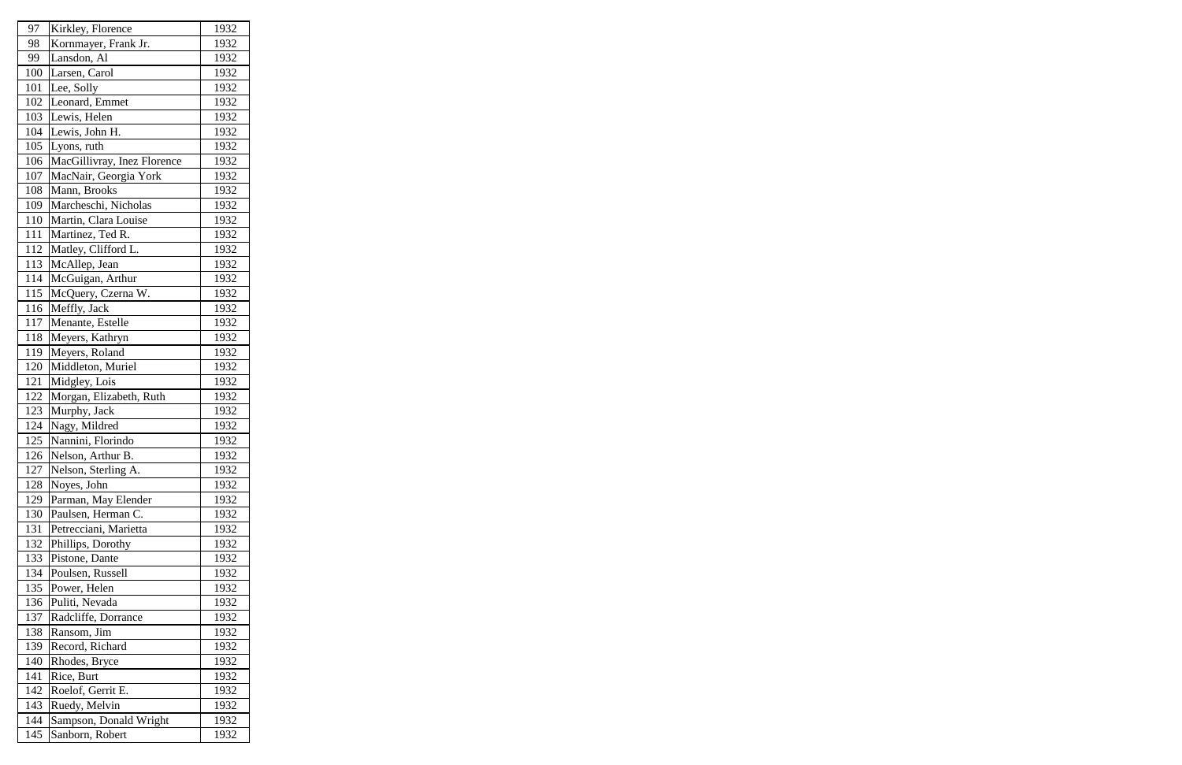| 97  | Kirkley, Florence           | 1932 |
|-----|-----------------------------|------|
| 98  | Kornmayer, Frank Jr.        | 1932 |
| 99  | Lansdon, Al                 | 1932 |
| 100 | Larsen, Carol               | 1932 |
| 101 | Lee, Solly                  | 1932 |
| 102 | Leonard, Emmet              | 1932 |
| 103 | Lewis, Helen                | 1932 |
| 104 | Lewis, John H.              | 1932 |
| 105 | Lyons, ruth                 | 1932 |
| 106 | MacGillivray, Inez Florence | 1932 |
| 107 | MacNair, Georgia York       | 1932 |
| 108 | Mann, Brooks                | 1932 |
| 109 | Marcheschi, Nicholas        | 1932 |
| 110 | Martin, Clara Louise        | 1932 |
| 111 | Martinez, Ted R.            | 1932 |
| 112 | Matley, Clifford L.         | 1932 |
| 113 | McAllep, Jean               | 1932 |
| 114 | McGuigan, Arthur            | 1932 |
| 115 | McQuery, Czerna W.          | 1932 |
| 116 | Meffly, Jack                | 1932 |
| 117 | Menante, Estelle            | 1932 |
| 118 | Meyers, Kathryn             | 1932 |
| 119 | Meyers, Roland              | 1932 |
| 120 | Middleton, Muriel           | 1932 |
| 121 | Midgley, Lois               | 1932 |
| 122 | Morgan, Elizabeth, Ruth     | 1932 |
| 123 | Murphy, Jack                | 1932 |
| 124 | Nagy, Mildred               | 1932 |
| 125 | Nannini, Florindo           | 1932 |
| 126 | Nelson, Arthur B.           | 1932 |
| 127 | Nelson, Sterling A.         | 1932 |
| 128 | Noyes, John                 | 1932 |
| 129 | Parman, May Elender         | 1932 |
| 130 | Paulsen, Herman C.          | 1932 |
| 131 | Petrecciani, Marietta       | 1932 |
| 132 | Phillips, Dorothy           | 1932 |
| 133 | Pistone, Dante              | 1932 |
| 134 | Poulsen, Russell            | 1932 |
| 135 | Power, Helen                | 1932 |
| 136 | Puliti, Nevada              | 1932 |
| 137 | Radcliffe, Dorrance         | 1932 |
| 138 | Ransom, Jim                 | 1932 |
| 139 | Record, Richard             | 1932 |
| 140 | Rhodes, Bryce               | 1932 |
| 141 | Rice, Burt                  | 1932 |
| 142 | Roelof, Gerrit E.           | 1932 |
| 143 | Ruedy, Melvin               | 1932 |
| 144 | Sampson, Donald Wright      | 1932 |
| 145 | Sanborn, Robert             | 1932 |